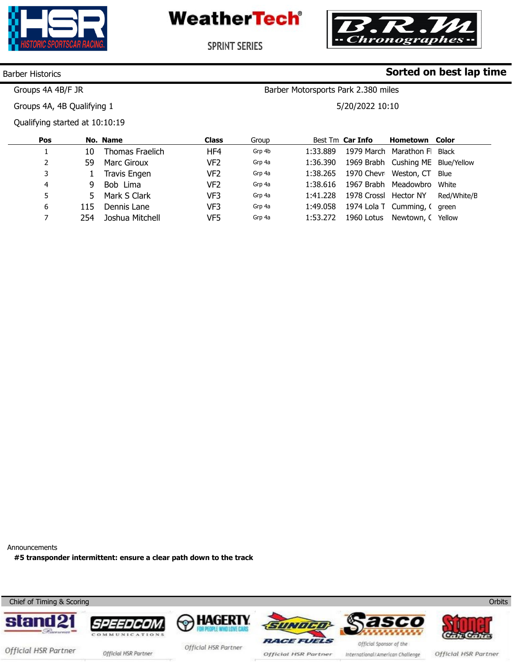



**SPRINT SERIES** 

#### Barber Historics

Groups 4A 4B/F JR

**Sorted on best lap time**

Barber Motorsports Park 2.380 miles

**Pos**  1 2 3 4 5 6 7 **No. Name**  10 59 1 9 5 115 254 Thomas Fraelich Marc Giroux Travis Engen Bob Lima Mark S Clark Dennis Lane Joshua Mitchell **Class**  HF4 VF2 VF2 VF2 VF3 VF3 VF5 Group Grp 4b Grp 4a Grp 4a Grp 4a Grp 4a Grp 4a Grp 4a Best Tm **Car Info**  1:33.889 1:36.390 1:38.265 1:38.616 1967 Brabh Meadowbro White 1:41.228 1978 Crossl Hector NY 1:49.058 1:53.272 1979 March Marathon F Black 1969 Brabh Cushing ME Blue/Yellow 1970 Chevr Weston, CT 1974 Lola T Cumming, C green 1960 Lotus Newtown, CYellow **Hometown Color**  Blue Red/White/B Groups 4A, 4B Qualifying 1 Qualifying started at 10:10:19 5/20/2022 10:10

Announcements

**#5 transponder intermittent: ensure a clear path down to the track** 



**Orbits**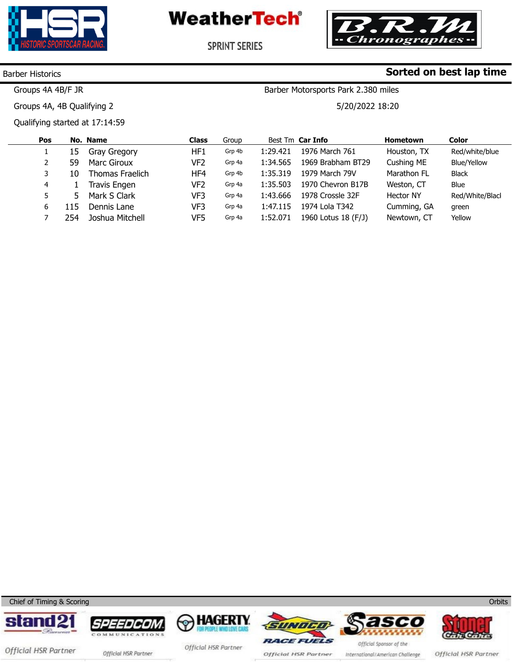



**Sorted on best lap time**

**SPRINT SERIES** 

### Barber Historics

Groups 4A 4B/F JR

Groups 4A, 4B Qualifying 2

Qualifying started at 17:14:59

Barber Motorsports Park 2.380 miles

5/20/2022 18:20

| Pos |     | No. Name        | <b>Class</b> | Group  |          | Best Tm Car Info    | <b>Hometown</b>  | <b>Color</b>       |
|-----|-----|-----------------|--------------|--------|----------|---------------------|------------------|--------------------|
|     | 15  | Gray Gregory    | HF1          | Grp 4b | 1:29.421 | 1976 March 761      | Houston, TX      | Red/white/blue     |
|     | 59  | Marc Giroux     | VF2          | Grp 4a | 1:34.565 | 1969 Brabham BT29   | Cushing ME       | <b>Blue/Yellow</b> |
|     | 10  | Thomas Fraelich | HF4          | Grp 4b | 1:35.319 | 1979 March 79V      | Marathon FL      | <b>Black</b>       |
| 4   |     | Travis Engen    | VF2          | Grp 4a | 1:35.503 | 1970 Chevron B17B   | Weston, CT       | Blue               |
|     | 5   | Mark S Clark    | VF3          | Grp 4a | 1:43.666 | 1978 Crossle 32F    | <b>Hector NY</b> | Red/White/Blacl    |
| 6   | 115 | Dennis Lane     | VF3          | Grp 4a | 1:47.115 | 1974 Lola T342      | Cumming, GA      | green              |
|     | 254 | Joshua Mitchell | VF5          | Grp 4a | 1:52.071 | 1960 Lotus 18 (F/J) | Newtown, CT      | Yellow             |
|     |     |                 |              |        |          |                     |                  |                    |

Chief of Timing & Scoring











ww.mylaps.com

Official HSR Partner official HSR Partner

Official HSR Partner

Official HSR Partner

International/American Challenge

Official HSR Partner

**Orbits**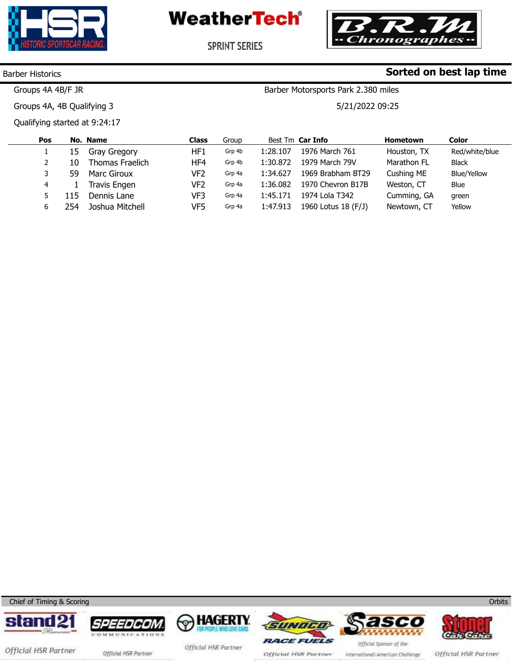



**Sorted on best lap time**

**SPRINT SERIES** 

## Barber Historics

Groups 4A 4B/F JR

Groups 4A, 4B Qualifying 3

Qualifying started at 9:24:17

Barber Motorsports Park 2.380 miles

5/21/2022 09:25

| Pos |     | No. Name            | Class | Group  |          | Best Tm Car Info    | <b>Hometown</b> | Color          |
|-----|-----|---------------------|-------|--------|----------|---------------------|-----------------|----------------|
|     | 15. | Gray Gregory        | HF1   | Grp 4b | 1:28.107 | 1976 March 761      | Houston, TX     | Red/white/blue |
|     | 10  | Thomas Fraelich     | HF4   | Grp 4b | 1:30.872 | 1979 March 79V      | Marathon FL     | <b>Black</b>   |
|     | 59  | Marc Giroux         | VF2   | Grp 4a | 1:34.627 | 1969 Brabham BT29   | Cushing ME      | Blue/Yellow    |
| 4   |     | <b>Travis Engen</b> | VF2   | Grp 4a | 1:36.082 | 1970 Chevron B17B   | Weston, CT      | Blue           |
|     | 115 | Dennis Lane         | VF3   | Grp 4a | 1:45.171 | 1974 Lola T342      | Cumming, GA     | green          |
|     | 254 | Joshua Mitchell     | VF5   | Grp 4a | 1:47.913 | 1960 Lotus 18 (F/J) | Newtown, CT     | Yellow         |

Chief of Timing & Scoring













Official HSR Partner official HSR Partner

Official HSR Partner

Official HSR Partner

International/American Challenge

Official HSR Partner

**Orbits**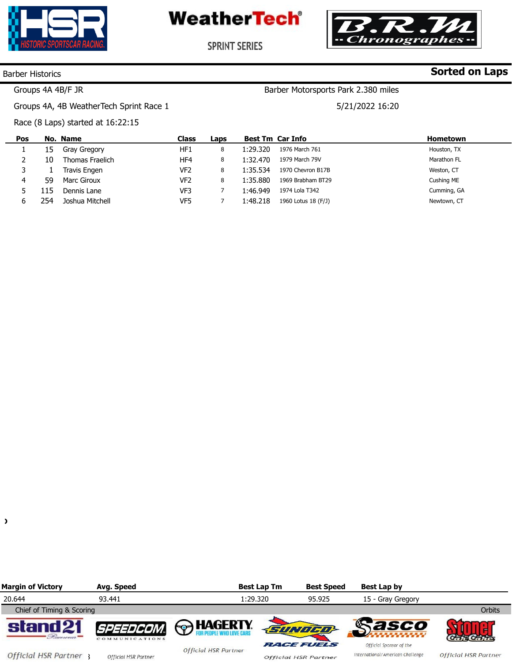



**SPRINT SERIES** 

#### Barber Historics

# **Sorted on Laps**

# Groups 4A 4B/F JR

Groups 4A, 4B WeatherTech Sprint Race 1

5/21/2022 16:20

Barber Motorsports Park 2.380 miles

Race (8 Laps) started at 16:22:15

| Pos |      | No. Name        | <b>Class</b>    | Laps | <b>Best Tm Car Info</b> |                     | <b>Hometown</b> |
|-----|------|-----------------|-----------------|------|-------------------------|---------------------|-----------------|
|     | 15   | Gray Gregory    | HF1             | 8    | 1:29.320                | 1976 March 761      | Houston, TX     |
|     | 10   | Thomas Fraelich | HF4             | 8    | 1:32.470                | 1979 March 79V      | Marathon FL     |
|     |      | Travis Engen    | VF <sub>2</sub> | 8    | 1:35.534                | 1970 Chevron B17B   | Weston, CT      |
| 4   | 59   | Marc Giroux     | VF <sub>2</sub> | 8    | 1:35.880                | 1969 Brabham BT29   | Cushing ME      |
|     | l 15 | Dennis Lane     | VF3             |      | 1:46.949                | 1974 Lola T342      | Cumming, GA     |
|     | 254  | Joshua Mitchell | VF5             |      | 1:48.218                | 1960 Lotus 18 (F/J) | Newtown, CT     |